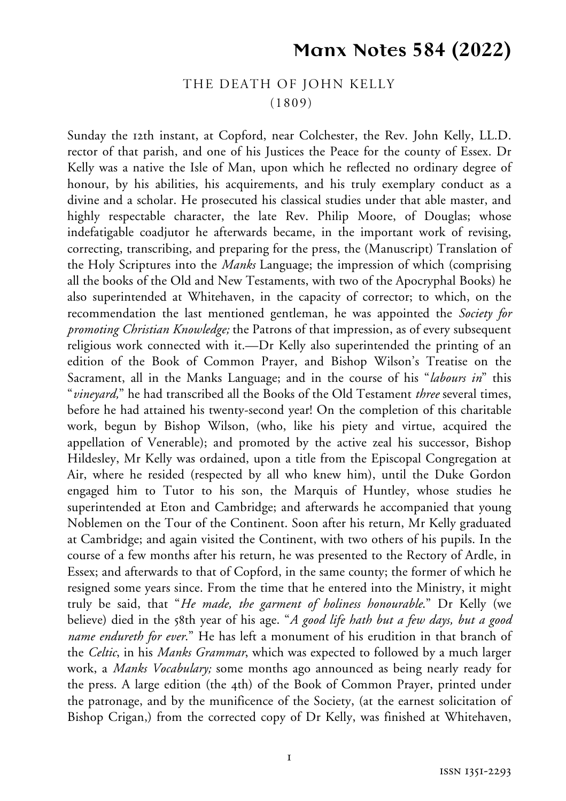## **Manx Notes 584 (2022)**

## THE DEATH OF JOHN KELLY (1809)

Sunday the 12th instant, at Copford, near Colchester, the Rev. John Kelly, LL.D. rector of that parish, and one of his Justices the Peace for the county of Essex. Dr Kelly was a native the Isle of Man, upon which he reflected no ordinary degree of honour, by his abilities, his acquirements, and his truly exemplary conduct as a divine and a scholar. He prosecuted his classical studies under that able master, and highly respectable character, the late Rev. Philip Moore, of Douglas; whose indefatigable coadjutor he afterwards became, in the important work of revising, correcting, transcribing, and preparing for the press, the (Manuscript) Translation of the Holy Scriptures into the *Manks* Language; the impression of which (comprising all the books of the Old and New Testaments, with two of the Apocryphal Books) he also superintended at Whitehaven, in the capacity of corrector; to which, on the recommendation the last mentioned gentleman, he was appointed the *Society for promoting Christian Knowledge;* the Patrons of that impression, as of every subsequent religious work connected with it.—Dr Kelly also superintended the printing of an edition of the Book of Common Prayer, and Bishop Wilson's Treatise on the Sacrament, all in the Manks Language; and in the course of his "*labours in*" this "*vineyard,*" he had transcribed all the Books of the Old Testament *three* several times, before he had attained his twenty-second year! On the completion of this charitable work, begun by Bishop Wilson, (who, like his piety and virtue, acquired the appellation of Venerable); and promoted by the active zeal his successor, Bishop Hildesley, Mr Kelly was ordained, upon a title from the Episcopal Congregation at Air, where he resided (respected by all who knew him), until the Duke Gordon engaged him to Tutor to his son, the Marquis of Huntley, whose studies he superintended at Eton and Cambridge; and afterwards he accompanied that young Noblemen on the Tour of the Continent. Soon after his return, Mr Kelly graduated at Cambridge; and again visited the Continent, with two others of his pupils. In the course of a few months after his return, he was presented to the Rectory of Ardle, in Essex; and afterwards to that of Copford, in the same county; the former of which he resigned some years since. From the time that he entered into the Ministry, it might truly be said, that "*He made, the garment of holiness honourable*." Dr Kelly (we believe) died in the 58th year of his age. "*A good life hath but a few days, but a good name endureth for ever*." He has left a monument of his erudition in that branch of the *Celtic*, in his *Manks Grammar*, which was expected to followed by a much larger work, a *Manks Vocabulary;* some months ago announced as being nearly ready for the press. A large edition (the 4th) of the Book of Common Prayer, printed under the patronage, and by the munificence of the Society, (at the earnest solicitation of Bishop Crigan,) from the corrected copy of Dr Kelly, was finished at Whitehaven,

 $\mathbf{I}$